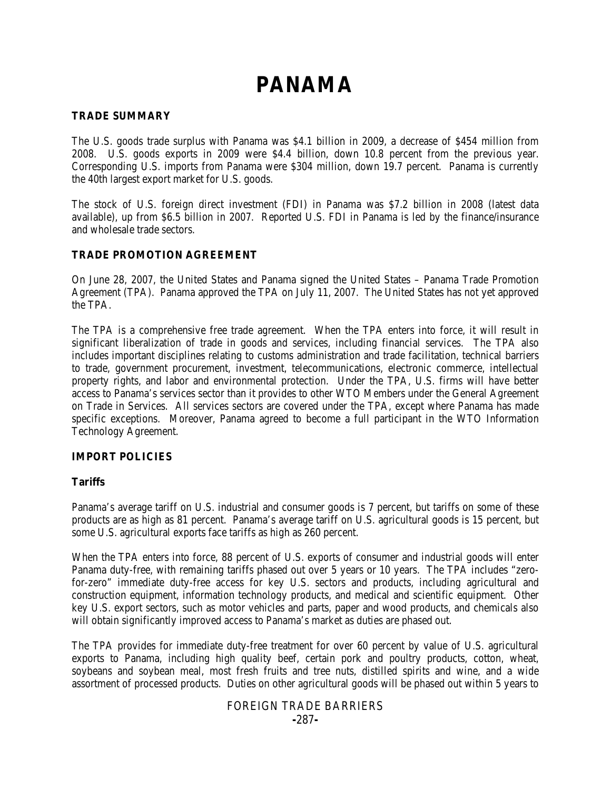# **PANAMA**

## **TRADE SUMMARY**

The U.S. goods trade surplus with Panama was \$4.1 billion in 2009, a decrease of \$454 million from 2008. U.S. goods exports in 2009 were \$4.4 billion, down 10.8 percent from the previous year. Corresponding U.S. imports from Panama were \$304 million, down 19.7 percent. Panama is currently the 40th largest export market for U.S. goods.

The stock of U.S. foreign direct investment (FDI) in Panama was \$7.2 billion in 2008 (latest data available), up from \$6.5 billion in 2007. Reported U.S. FDI in Panama is led by the finance/insurance and wholesale trade sectors.

# **TRADE PROMOTION AGREEMENT**

On June 28, 2007, the United States and Panama signed the United States – Panama Trade Promotion Agreement (TPA). Panama approved the TPA on July 11, 2007. The United States has not yet approved the TPA.

The TPA is a comprehensive free trade agreement. When the TPA enters into force, it will result in significant liberalization of trade in goods and services, including financial services. The TPA also includes important disciplines relating to customs administration and trade facilitation, technical barriers to trade, government procurement, investment, telecommunications, electronic commerce, intellectual property rights, and labor and environmental protection. Under the TPA, U.S. firms will have better access to Panama's services sector than it provides to other WTO Members under the General Agreement on Trade in Services. All services sectors are covered under the TPA, except where Panama has made specific exceptions. Moreover, Panama agreed to become a full participant in the WTO Information Technology Agreement.

# **IMPORT POLICIES**

#### **Tariffs**

Panama's average tariff on U.S. industrial and consumer goods is 7 percent, but tariffs on some of these products are as high as 81 percent. Panama's average tariff on U.S. agricultural goods is 15 percent, but some U.S. agricultural exports face tariffs as high as 260 percent.

When the TPA enters into force, 88 percent of U.S. exports of consumer and industrial goods will enter Panama duty-free, with remaining tariffs phased out over 5 years or 10 years. The TPA includes "zerofor-zero" immediate duty-free access for key U.S. sectors and products, including agricultural and construction equipment, information technology products, and medical and scientific equipment. Other key U.S. export sectors, such as motor vehicles and parts, paper and wood products, and chemicals also will obtain significantly improved access to Panama's market as duties are phased out.

The TPA provides for immediate duty-free treatment for over 60 percent by value of U.S. agricultural exports to Panama, including high quality beef, certain pork and poultry products, cotton, wheat, soybeans and soybean meal, most fresh fruits and tree nuts, distilled spirits and wine, and a wide assortment of processed products. Duties on other agricultural goods will be phased out within 5 years to

## FOREIGN TRADE BARRIERS **-**287**-**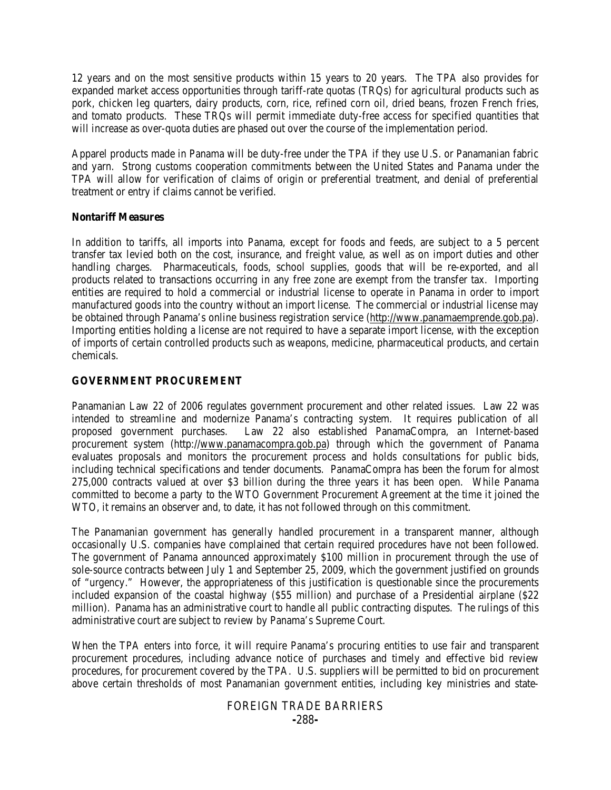12 years and on the most sensitive products within 15 years to 20 years. The TPA also provides for expanded market access opportunities through tariff-rate quotas (TRQs) for agricultural products such as pork, chicken leg quarters, dairy products, corn, rice, refined corn oil, dried beans, frozen French fries, and tomato products. These TROs will permit immediate duty-free access for specified quantities that will increase as over-quota duties are phased out over the course of the implementation period.

Apparel products made in Panama will be duty-free under the TPA if they use U.S. or Panamanian fabric and yarn. Strong customs cooperation commitments between the United States and Panama under the TPA will allow for verification of claims of origin or preferential treatment, and denial of preferential treatment or entry if claims cannot be verified.

## **Nontariff Measures**

In addition to tariffs, all imports into Panama, except for foods and feeds, are subject to a 5 percent transfer tax levied both on the cost, insurance, and freight value, as well as on import duties and other handling charges. Pharmaceuticals, foods, school supplies, goods that will be re-exported, and all products related to transactions occurring in any free zone are exempt from the transfer tax. Importing entities are required to hold a commercial or industrial license to operate in Panama in order to import manufactured goods into the country without an import license. The commercial or industrial license may be obtained through Panama's online business registration service (http:/[/www.panamaemprende.gob.pa\)](http://www.panamaemprende.gob.pa/). Importing entities holding a license are not required to have a separate import license, with the exception of imports of certain controlled products such as weapons, medicine, pharmaceutical products, and certain chemicals.

# **GOVERNMENT PROCUREMENT**

Panamanian Law 22 of 2006 regulates government procurement and other related issues. Law 22 was intended to streamline and modernize Panama's contracting system. It requires publication of all proposed government purchases. Law 22 also established PanamaCompra, an Internet-based procurement system (http:/[/www.panamacompra.gob.pa\)](http://www.panamacompra.gob.pa/) through which the government of Panama evaluates proposals and monitors the procurement process and holds consultations for public bids, including technical specifications and tender documents. PanamaCompra has been the forum for almost 275,000 contracts valued at over \$3 billion during the three years it has been open. While Panama committed to become a party to the WTO Government Procurement Agreement at the time it joined the WTO, it remains an observer and, to date, it has not followed through on this commitment.

The Panamanian government has generally handled procurement in a transparent manner, although occasionally U.S. companies have complained that certain required procedures have not been followed. The government of Panama announced approximately \$100 million in procurement through the use of sole-source contracts between July 1 and September 25, 2009, which the government justified on grounds of "urgency." However, the appropriateness of this justification is questionable since the procurements included expansion of the coastal highway (\$55 million) and purchase of a Presidential airplane (\$22 million). Panama has an administrative court to handle all public contracting disputes. The rulings of this administrative court are subject to review by Panama's Supreme Court.

When the TPA enters into force, it will require Panama's procuring entities to use fair and transparent procurement procedures, including advance notice of purchases and timely and effective bid review procedures, for procurement covered by the TPA. U.S. suppliers will be permitted to bid on procurement above certain thresholds of most Panamanian government entities, including key ministries and state-

# FOREIGN TRADE BARRIERS **-**288**-**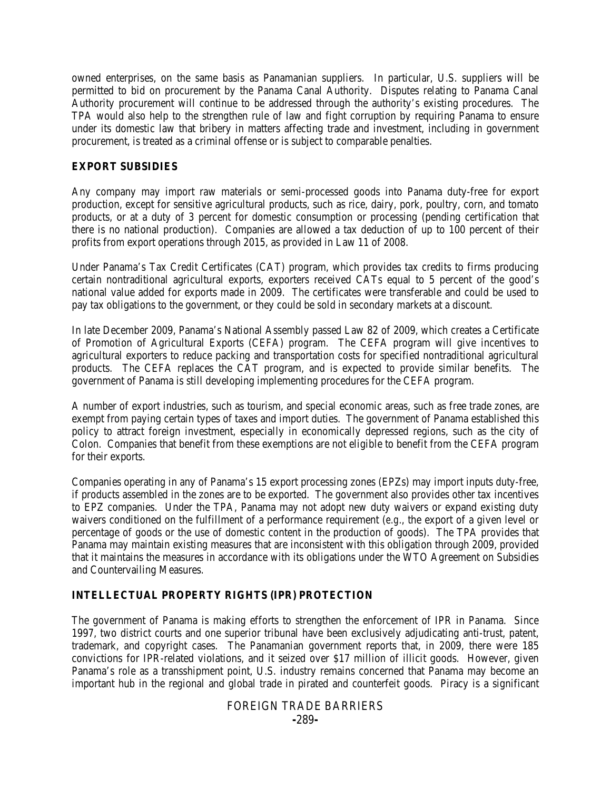owned enterprises, on the same basis as Panamanian suppliers. In particular, U.S. suppliers will be permitted to bid on procurement by the Panama Canal Authority. Disputes relating to Panama Canal Authority procurement will continue to be addressed through the authority's existing procedures. The TPA would also help to the strengthen rule of law and fight corruption by requiring Panama to ensure under its domestic law that bribery in matters affecting trade and investment, including in government procurement, is treated as a criminal offense or is subject to comparable penalties.

# **EXPORT SUBSIDIES**

Any company may import raw materials or semi-processed goods into Panama duty-free for export production, except for sensitive agricultural products, such as rice, dairy, pork, poultry, corn, and tomato products, or at a duty of 3 percent for domestic consumption or processing (pending certification that there is no national production). Companies are allowed a tax deduction of up to 100 percent of their profits from export operations through 2015, as provided in Law 11 of 2008.

Under Panama's Tax Credit Certificates (CAT) program, which provides tax credits to firms producing certain nontraditional agricultural exports, exporters received CATs equal to 5 percent of the good's national value added for exports made in 2009. The certificates were transferable and could be used to pay tax obligations to the government, or they could be sold in secondary markets at a discount.

In late December 2009, Panama's National Assembly passed Law 82 of 2009, which creates a Certificate of Promotion of Agricultural Exports (CEFA) program. The CEFA program will give incentives to agricultural exporters to reduce packing and transportation costs for specified nontraditional agricultural products. The CEFA replaces the CAT program, and is expected to provide similar benefits. The government of Panama is still developing implementing procedures for the CEFA program.

A number of export industries, such as tourism, and special economic areas, such as free trade zones, are exempt from paying certain types of taxes and import duties. The government of Panama established this policy to attract foreign investment, especially in economically depressed regions, such as the city of Colon. Companies that benefit from these exemptions are not eligible to benefit from the CEFA program for their exports.

Companies operating in any of Panama's 15 export processing zones (EPZs) may import inputs duty-free, if products assembled in the zones are to be exported. The government also provides other tax incentives to EPZ companies. Under the TPA, Panama may not adopt new duty waivers or expand existing duty waivers conditioned on the fulfillment of a performance requirement (*e.g.*, the export of a given level or percentage of goods or the use of domestic content in the production of goods). The TPA provides that Panama may maintain existing measures that are inconsistent with this obligation through 2009, provided that it maintains the measures in accordance with its obligations under the WTO Agreement on Subsidies and Countervailing Measures.

# **INTELLECTUAL PROPERTY RIGHTS (IPR) PROTECTION**

The government of Panama is making efforts to strengthen the enforcement of IPR in Panama. Since 1997, two district courts and one superior tribunal have been exclusively adjudicating anti-trust, patent, trademark, and copyright cases. The Panamanian government reports that, in 2009, there were 185 convictions for IPR-related violations, and it seized over \$17 million of illicit goods. However, given Panama's role as a transshipment point, U.S. industry remains concerned that Panama may become an important hub in the regional and global trade in pirated and counterfeit goods. Piracy is a significant

## FOREIGN TRADE BARRIERS **-**289**-**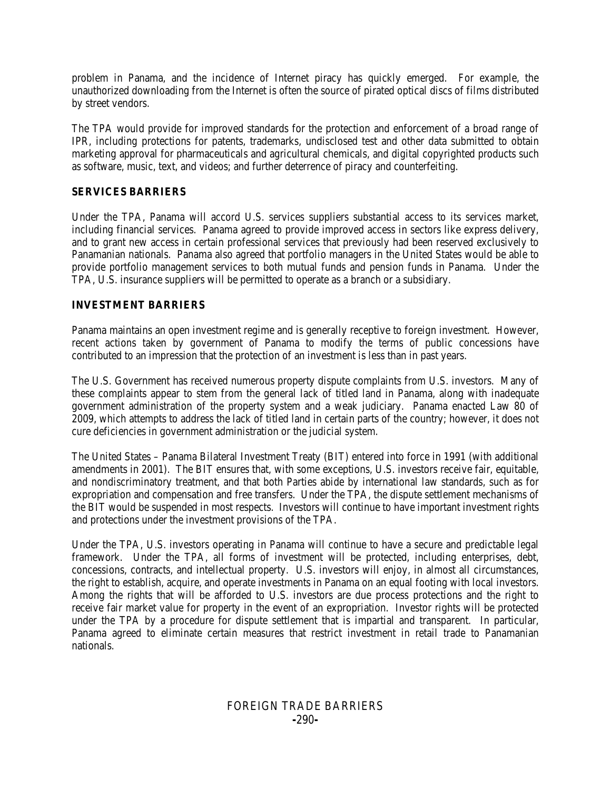problem in Panama, and the incidence of Internet piracy has quickly emerged. For example, the unauthorized downloading from the Internet is often the source of pirated optical discs of films distributed by street vendors.

The TPA would provide for improved standards for the protection and enforcement of a broad range of IPR, including protections for patents, trademarks, undisclosed test and other data submitted to obtain marketing approval for pharmaceuticals and agricultural chemicals, and digital copyrighted products such as software, music, text, and videos; and further deterrence of piracy and counterfeiting.

# **SERVICES BARRIERS**

Under the TPA, Panama will accord U.S. services suppliers substantial access to its services market, including financial services. Panama agreed to provide improved access in sectors like express delivery, and to grant new access in certain professional services that previously had been reserved exclusively to Panamanian nationals. Panama also agreed that portfolio managers in the United States would be able to provide portfolio management services to both mutual funds and pension funds in Panama. Under the TPA, U.S. insurance suppliers will be permitted to operate as a branch or a subsidiary.

# **INVESTMENT BARRIERS**

Panama maintains an open investment regime and is generally receptive to foreign investment. However, recent actions taken by government of Panama to modify the terms of public concessions have contributed to an impression that the protection of an investment is less than in past years.

The U.S. Government has received numerous property dispute complaints from U.S. investors. Many of these complaints appear to stem from the general lack of titled land in Panama, along with inadequate government administration of the property system and a weak judiciary. Panama enacted Law 80 of 2009, which attempts to address the lack of titled land in certain parts of the country; however, it does not cure deficiencies in government administration or the judicial system.

The United States – Panama Bilateral Investment Treaty (BIT) entered into force in 1991 (with additional amendments in 2001). The BIT ensures that, with some exceptions, U.S. investors receive fair, equitable, and nondiscriminatory treatment, and that both Parties abide by international law standards, such as for expropriation and compensation and free transfers. Under the TPA, the dispute settlement mechanisms of the BIT would be suspended in most respects. Investors will continue to have important investment rights and protections under the investment provisions of the TPA.

Under the TPA, U.S. investors operating in Panama will continue to have a secure and predictable legal framework. Under the TPA, all forms of investment will be protected, including enterprises, debt, concessions, contracts, and intellectual property. U.S. investors will enjoy, in almost all circumstances, the right to establish, acquire, and operate investments in Panama on an equal footing with local investors. Among the rights that will be afforded to U.S. investors are due process protections and the right to receive fair market value for property in the event of an expropriation. Investor rights will be protected under the TPA by a procedure for dispute settlement that is impartial and transparent. In particular, Panama agreed to eliminate certain measures that restrict investment in retail trade to Panamanian nationals.

# FOREIGN TRADE BARRIERS **-**290**-**